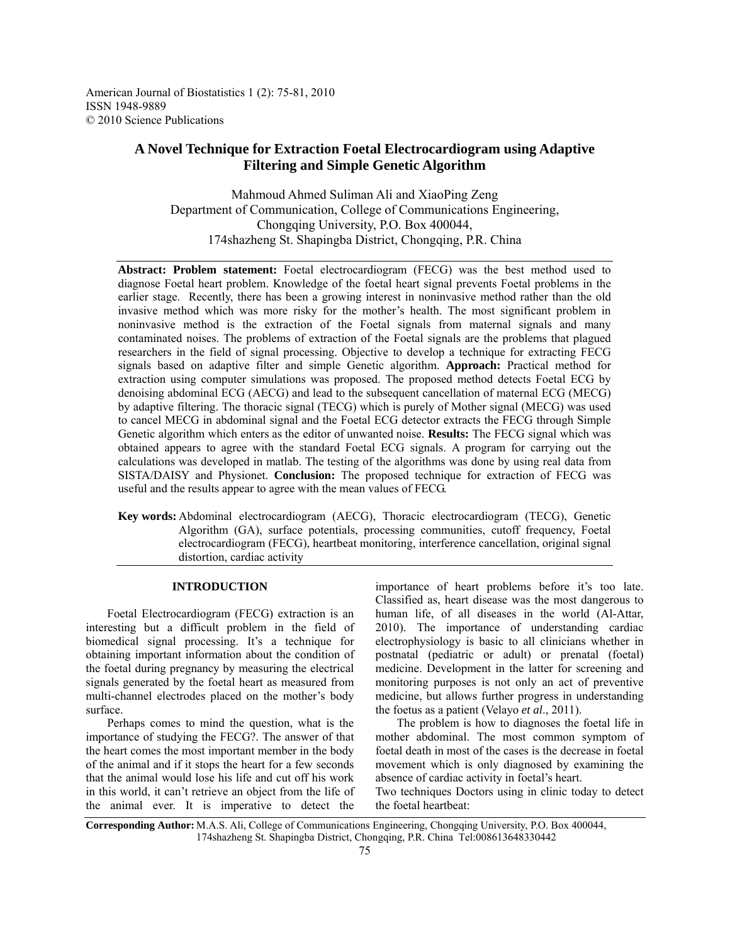American Journal of Biostatistics 1 (2): 75-81, 2010 ISSN 1948-9889 © 2010 Science Publications

# **A Novel Technique for Extraction Foetal Electrocardiogram using Adaptive Filtering and Simple Genetic Algorithm**

Mahmoud Ahmed Suliman Ali and XiaoPing Zeng Department of Communication, College of Communications Engineering, Chongqing University, P.O. Box 400044, 174shazheng St. Shapingba District, Chongqing, P.R. China

**Abstract: Problem statement:** Foetal electrocardiogram (FECG) was the best method used to diagnose Foetal heart problem. Knowledge of the foetal heart signal prevents Foetal problems in the earlier stage. Recently, there has been a growing interest in noninvasive method rather than the old invasive method which was more risky for the mother's health. The most significant problem in noninvasive method is the extraction of the Foetal signals from maternal signals and many contaminated noises. The problems of extraction of the Foetal signals are the problems that plagued researchers in the field of signal processing. Objective to develop a technique for extracting FECG signals based on adaptive filter and simple Genetic algorithm. **Approach:** Practical method for extraction using computer simulations was proposed. The proposed method detects Foetal ECG by denoising abdominal ECG (AECG) and lead to the subsequent cancellation of maternal ECG (MECG) by adaptive filtering. The thoracic signal (TECG) which is purely of Mother signal (MECG) was used to cancel MECG in abdominal signal and the Foetal ECG detector extracts the FECG through Simple Genetic algorithm which enters as the editor of unwanted noise. **Results:** The FECG signal which was obtained appears to agree with the standard Foetal ECG signals. A program for carrying out the calculations was developed in matlab. The testing of the algorithms was done by using real data from SISTA/DAISY and Physionet. **Conclusion:** The proposed technique for extraction of FECG was useful and the results appear to agree with the mean values of FECG.

**Key words:** Abdominal electrocardiogram (AECG), Thoracic electrocardiogram (TECG), Genetic Algorithm (GA), surface potentials, processing communities, cutoff frequency, Foetal electrocardiogram (FECG), heartbeat monitoring, interference cancellation, original signal distortion, cardiac activity

## **INTRODUCTION**

 Foetal Electrocardiogram (FECG) extraction is an interesting but a difficult problem in the field of biomedical signal processing. It's a technique for obtaining important information about the condition of the foetal during pregnancy by measuring the electrical signals generated by the foetal heart as measured from multi-channel electrodes placed on the mother's body surface.

 Perhaps comes to mind the question, what is the importance of studying the FECG?. The answer of that the heart comes the most important member in the body of the animal and if it stops the heart for a few seconds that the animal would lose his life and cut off his work in this world, it can't retrieve an object from the life of the animal ever. It is imperative to detect the

importance of heart problems before it's too late. Classified as, heart disease was the most dangerous to human life, of all diseases in the world (Al-Attar, 2010). The importance of understanding cardiac electrophysiology is basic to all clinicians whether in postnatal (pediatric or adult) or prenatal (foetal) medicine. Development in the latter for screening and monitoring purposes is not only an act of preventive medicine, but allows further progress in understanding the foetus as a patient (Velayo *et al*., 2011).

 The problem is how to diagnoses the foetal life in mother abdominal. The most common symptom of foetal death in most of the cases is the decrease in foetal movement which is only diagnosed by examining the absence of cardiac activity in foetal's heart.

Two techniques Doctors using in clinic today to detect the foetal heartbeat:

**Corresponding Author:** M.A.S. Ali, College of Communications Engineering, Chongqing University, P.O. Box 400044, 174shazheng St. Shapingba District, Chongqing, P.R. China Tel:008613648330442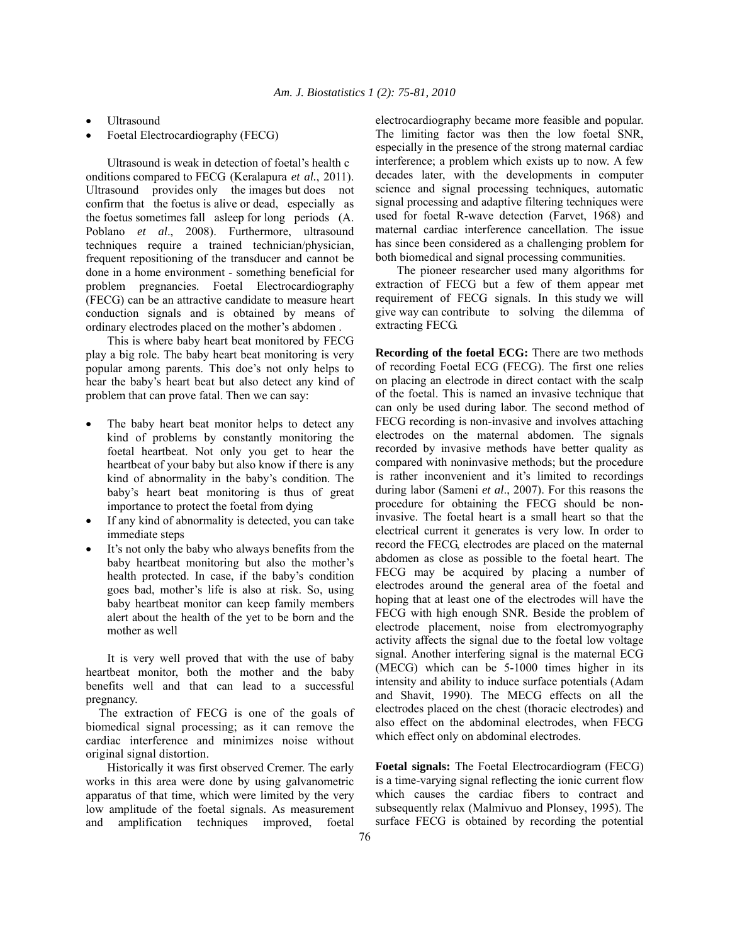- Ultrasound
- Foetal Electrocardiography (FECG)

 Ultrasound is weak in detection of foetal's health c onditions compared to FECG (Keralapura *et al.*, 2011). Ultrasound provides only the images but does not confirm that the foetus is alive or dead, especially as the foetus sometimes fall asleep for long periods (A. Poblano *et al*., 2008). Furthermore, ultrasound techniques require a trained technician/physician, frequent repositioning of the transducer and cannot be done in a home environment - something beneficial for problem pregnancies. Foetal Electrocardiography (FECG) can be an attractive candidate to measure heart conduction signals and is obtained by means of ordinary electrodes placed on the mother's abdomen .

 This is where baby heart beat monitored by FECG play a big role. The baby heart beat monitoring is very popular among parents. This doe's not only helps to hear the baby's heart beat but also detect any kind of problem that can prove fatal. Then we can say:

- The baby heart beat monitor helps to detect any kind of problems by constantly monitoring the foetal heartbeat. Not only you get to hear the heartbeat of your baby but also know if there is any kind of abnormality in the baby's condition. The baby's heart beat monitoring is thus of great importance to protect the foetal from dying
- If any kind of abnormality is detected, you can take immediate steps
- It's not only the baby who always benefits from the baby heartbeat monitoring but also the mother's health protected. In case, if the baby's condition goes bad, mother's life is also at risk. So, using baby heartbeat monitor can keep family members alert about the health of the yet to be born and the mother as well

 It is very well proved that with the use of baby heartbeat monitor, both the mother and the baby benefits well and that can lead to a successful pregnancy.

 The extraction of FECG is one of the goals of biomedical signal processing; as it can remove the cardiac interference and minimizes noise without original signal distortion.

 Historically it was first observed Cremer. The early works in this area were done by using galvanometric apparatus of that time, which were limited by the very low amplitude of the foetal signals. As measurement and amplification techniques improved, foetal

electrocardiography became more feasible and popular. The limiting factor was then the low foetal SNR, especially in the presence of the strong maternal cardiac interference; a problem which exists up to now. A few decades later, with the developments in computer science and signal processing techniques, automatic signal processing and adaptive filtering techniques were used for foetal R-wave detection (Farvet, 1968) and maternal cardiac interference cancellation. The issue has since been considered as a challenging problem for both biomedical and signal processing communities.

 The pioneer researcher used many algorithms for extraction of FECG but a few of them appear met requirement of FECG signals. In this study we will give way can contribute to solving the dilemma of extracting FECG.

**Recording of the foetal ECG:** There are two methods of recording Foetal ECG (FECG). The first one relies on placing an electrode in direct contact with the scalp of the foetal. This is named an invasive technique that can only be used during labor. The second method of FECG recording is non-invasive and involves attaching electrodes on the maternal abdomen. The signals recorded by invasive methods have better quality as compared with noninvasive methods; but the procedure is rather inconvenient and it's limited to recordings during labor (Sameni *et al*., 2007). For this reasons the procedure for obtaining the FECG should be noninvasive. The foetal heart is a small heart so that the electrical current it generates is very low. In order to record the FECG, electrodes are placed on the maternal abdomen as close as possible to the foetal heart. The FECG may be acquired by placing a number of electrodes around the general area of the foetal and hoping that at least one of the electrodes will have the FECG with high enough SNR. Beside the problem of electrode placement, noise from electromyography activity affects the signal due to the foetal low voltage signal. Another interfering signal is the maternal ECG (MECG) which can be 5-1000 times higher in its intensity and ability to induce surface potentials (Adam and Shavit, 1990). The MECG effects on all the electrodes placed on the chest (thoracic electrodes) and also effect on the abdominal electrodes, when FECG which effect only on abdominal electrodes.

**Foetal signals:** The Foetal Electrocardiogram (FECG) is a time-varying signal reflecting the ionic current flow which causes the cardiac fibers to contract and subsequently relax (Malmivuo and Plonsey, 1995). The surface FECG is obtained by recording the potential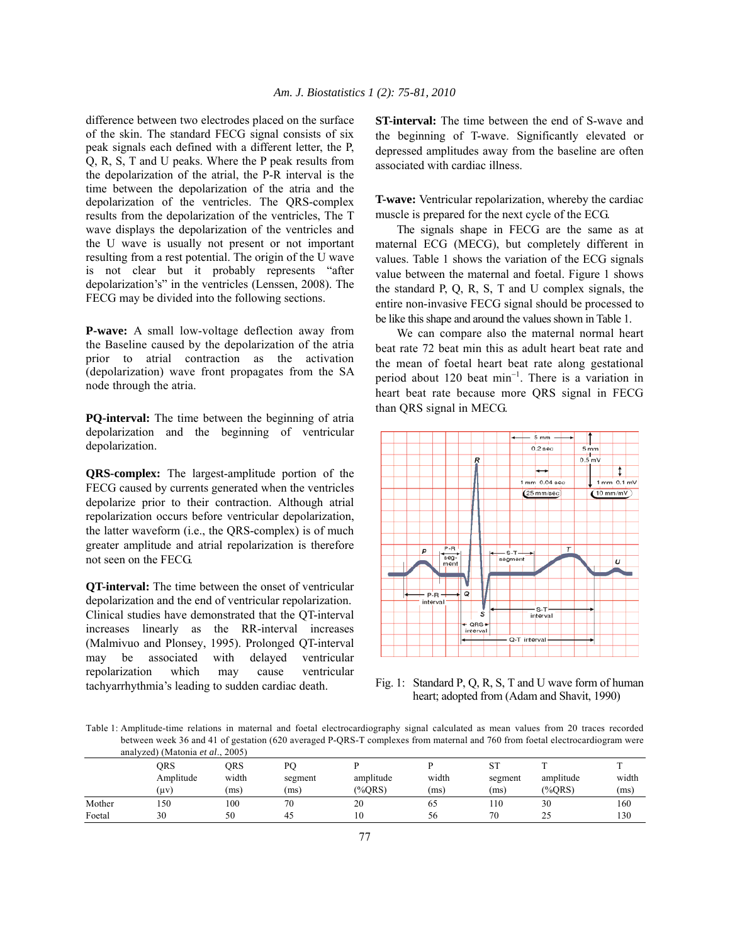difference between two electrodes placed on the surface of the skin. The standard FECG signal consists of six peak signals each defined with a different letter, the P, Q, R, S, T and U peaks. Where the P peak results from the depolarization of the atrial, the P-R interval is the time between the depolarization of the atria and the depolarization of the ventricles. The QRS-complex results from the depolarization of the ventricles, The T wave displays the depolarization of the ventricles and the U wave is usually not present or not important resulting from a rest potential. The origin of the U wave is not clear but it probably represents "after depolarization's" in the ventricles (Lenssen, 2008). The FECG may be divided into the following sections.

**P-wave:** A small low-voltage deflection away from the Baseline caused by the depolarization of the atria prior to atrial contraction as the activation (depolarization) wave front propagates from the SA node through the atria.

**PQ-interval:** The time between the beginning of atria depolarization and the beginning of ventricular depolarization.

**QRS-complex:** The largest-amplitude portion of the FECG caused by currents generated when the ventricles depolarize prior to their contraction. Although atrial repolarization occurs before ventricular depolarization, the latter waveform (i.e., the QRS-complex) is of much greater amplitude and atrial repolarization is therefore not seen on the FECG.

**QT-interval:** The time between the onset of ventricular depolarization and the end of ventricular repolarization. Clinical studies have demonstrated that the QT-interval increases linearly as the RR-interval increases (Malmivuo and Plonsey, 1995). Prolonged QT-interval may be associated with delayed ventricular repolarization which may cause ventricular tachyarrhythmia's leading to sudden cardiac death.

**ST-interval:** The time between the end of S-wave and the beginning of T-wave. Significantly elevated or depressed amplitudes away from the baseline are often associated with cardiac illness.

**T-wave:** Ventricular repolarization, whereby the cardiac muscle is prepared for the next cycle of the ECG.

 The signals shape in FECG are the same as at maternal ECG (MECG), but completely different in values. Table 1 shows the variation of the ECG signals value between the maternal and foetal. Figure 1 shows the standard P, Q, R, S, T and U complex signals, the entire non-invasive FECG signal should be processed to be like this shape and around the values shown in Table 1.

 We can compare also the maternal normal heart beat rate 72 beat min this as adult heart beat rate and the mean of foetal heart beat rate along gestational period about 120 beat min<sup>-1</sup>. There is a variation in heart beat rate because more QRS signal in FECG than QRS signal in MECG.



Fig. 1: Standard P, Q, R, S, T and U wave form of human heart; adopted from (Adam and Shavit, 1990)

Table 1: Amplitude-time relations in maternal and foetal electrocardiography signal calculated as mean values from 20 traces recorded between week 36 and 41 of gestation (620 averaged P-QRS-T complexes from maternal and 760 from foetal electrocardiogram were analyzed) (Matonia *et al*., 2005)

|        | ORS       | ORS   | DΩ      |           |       | <b>ST</b> |           |       |
|--------|-----------|-------|---------|-----------|-------|-----------|-----------|-------|
|        | Amplitude | width | segment | amplitude | width | segment   | amplitude | width |
|        | (uv)      | (ms)  | (ms)    | $(\%ORS)$ | (ms)  | (ms)      | $(\%ORS)$ | (ms)  |
| Mother | 150       | 100   | 70      | 20        | 65    | 110       | 30        | 160   |
| Foetal | 30        | 50    | -45     |           | 56    | 70        | 25        | 130   |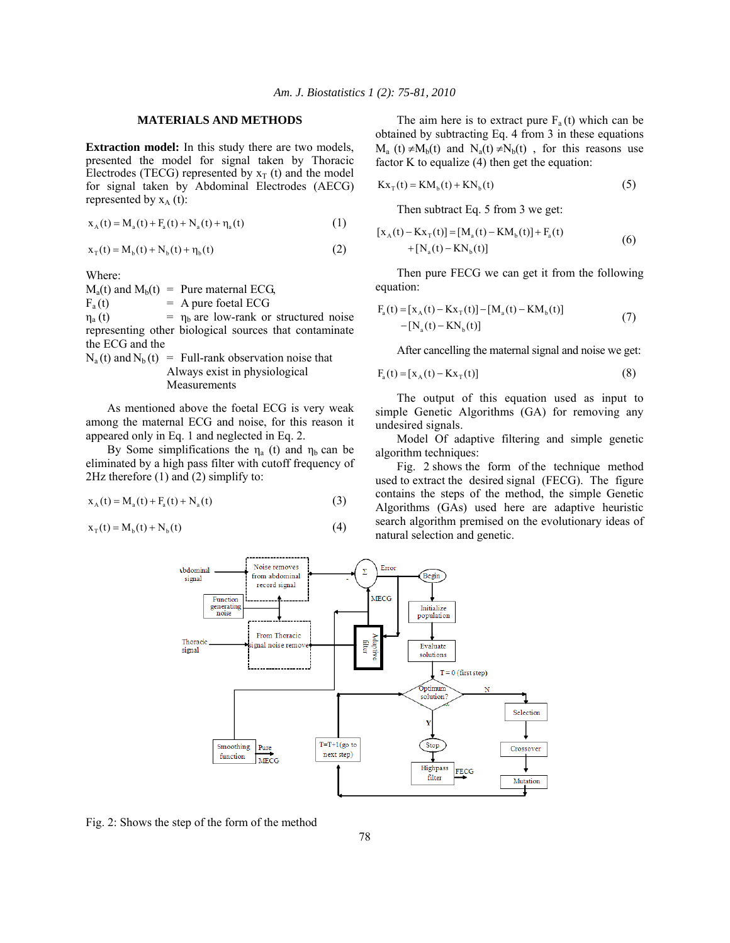## **MATERIALS AND METHODS**

**Extraction model:** In this study there are two models, presented the model for signal taken by Thoracic Electrodes (TECG) represented by  $x_T$  (t) and the model for signal taken by Abdominal Electrodes (AECG) represented by  $x_A(t)$ :

$$
x_{A}(t) = M_{a}(t) + F_{a}(t) + N_{a}(t) + \eta_{a}(t)
$$
\n(1)

$$
x_{T}(t) = M_{b}(t) + N_{b}(t) + \eta_{b}(t)
$$
\n(2)

Where:

 $M_a(t)$  and  $M_b(t)$  = Pure maternal ECG,<br>F<sub>a</sub>(t) = A pure foetal ECG

 $=$  A pure foetal ECG

 $\eta_a(t)$  =  $\eta_b$  are low-rank or structured noise representing other biological sources that contaminate the ECG and the

 $N_a(t)$  and  $N_b(t)$  = Full-rank observation noise that Always exist in physiological Measurements

 As mentioned above the foetal ECG is very weak among the maternal ECG and noise, for this reason it appeared only in Eq. 1 and neglected in Eq. 2.

By Some simplifications the  $\eta_a$  (t) and  $\eta_b$  can be eliminated by a high pass filter with cutoff frequency of 2Hz therefore (1) and (2) simplify to:

$$
x_{A}(t) = M_{a}(t) + F_{a}(t) + N_{a}(t)
$$
\n(3)

 $X_{\tau} (t) = M_{b} (t) + N_{b} (t)$  (4)

The aim here is to extract pure  $F_a(t)$  which can be obtained by subtracting Eq. 4 from 3 in these equations  $M_a$  (t) ≠ $M_b(t)$  and  $N_a(t)$  ≠ $N_b(t)$ , for this reasons use factor K to equalize  $(4)$  then get the equation:

$$
Kx_{T}(t) = KM_{b}(t) + KN_{b}(t)
$$
\n(5)

Then subtract Eq. 5 from 3 we get:

$$
[x_{A}(t) - Kx_{T}(t)] = [M_{a}(t) - KM_{b}(t)] + F_{a}(t)
$$
  
+ [N\_{a}(t) - KN\_{b}(t)] \t\t(6)

 Then pure FECG we can get it from the following equation:

$$
F_a(t) = [x_A(t) - Kx_T(t)] - [M_a(t) - KM_b(t)]
$$
  
- [N\_a(t) - KN\_b(t)] (7)

After cancelling the maternal signal and noise we get:

$$
F_{a}(t) = [x_{A}(t) - Kx_{T}(t)]
$$
\n(8)

 The output of this equation used as input to simple Genetic Algorithms (GA) for removing any undesired signals.

 Model Of adaptive filtering and simple genetic algorithm techniques:

 Fig. 2 shows the form of the technique method used to extract the desired signal (FECG). The figure contains the steps of the method, the simple Genetic Algorithms (GAs) used here are adaptive heuristic search algorithm premised on the evolutionary ideas of natural selection and genetic.



Fig. 2: Shows the step of the form of the method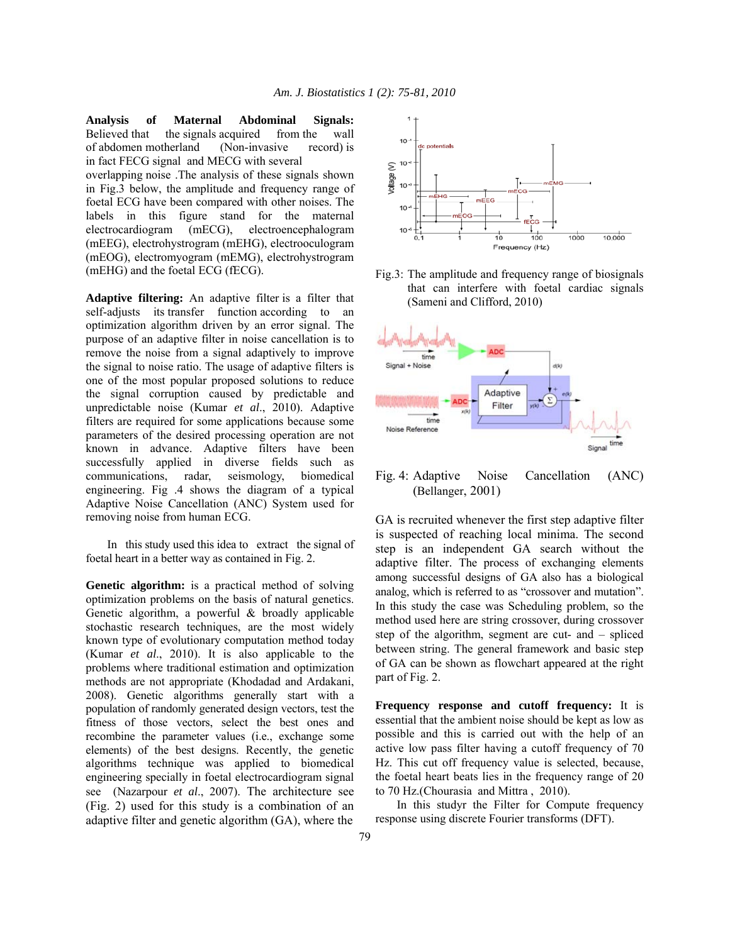**Analysis of Maternal Abdominal Signals:** Believed that the signals acquired from the wall of abdomen motherland (Non-invasive record) is in fact FECG signal and MECG with several

overlapping noise .The analysis of these signals shown in Fig.3 below, the amplitude and frequency range of foetal ECG have been compared with other noises. The labels in this figure stand for the maternal electrocardiogram (mECG), electroencephalogram (mEEG), electrohystrogram (mEHG), electrooculogram (mEOG), electromyogram (mEMG), electrohystrogram (mEHG) and the foetal ECG (fECG).

**Adaptive filtering:** An adaptive filter is a filter that self-adjusts its transfer function according to an optimization algorithm driven by an error signal. The purpose of an adaptive filter in noise cancellation is to remove the noise from a signal adaptively to improve the signal to noise ratio. The usage of adaptive filters is one of the most popular proposed solutions to reduce the signal corruption caused by predictable and unpredictable noise (Kumar *et al*., 2010). Adaptive filters are required for some applications because some parameters of the desired processing operation are not known in advance. Adaptive filters have been successfully applied in diverse fields such as communications, radar, seismology, biomedical engineering. Fig .4 shows the diagram of a typical Adaptive Noise Cancellation (ANC) System used for removing noise from human ECG.

 In this study used this idea to extract the signal of foetal heart in a better way as contained in Fig. 2.

**Genetic algorithm:** is a practical method of solving optimization problems on the basis of natural genetics. Genetic algorithm, a powerful & broadly applicable stochastic research techniques, are the most widely known type of evolutionary computation method today (Kumar *et al*., 2010). It is also applicable to the problems where traditional estimation and optimization methods are not appropriate (Khodadad and Ardakani, 2008). Genetic algorithms generally start with a population of randomly generated design vectors, test the fitness of those vectors, select the best ones and recombine the parameter values (i.e., exchange some elements) of the best designs. Recently, the genetic algorithms technique was applied to biomedical engineering specially in foetal electrocardiogram signal see (Nazarpour *et al*., 2007). The architecture see (Fig. 2) used for this study is a combination of an adaptive filter and genetic algorithm (GA), where the



Fig.3: The amplitude and frequency range of biosignals that can interfere with foetal cardiac signals (Sameni and Clifford, 2010)



Fig. 4: Adaptive Noise Cancellation (ANC) (Bellanger, 2001)

GA is recruited whenever the first step adaptive filter is suspected of reaching local minima. The second step is an independent GA search without the adaptive filter. The process of exchanging elements among successful designs of GA also has a biological analog, which is referred to as "crossover and mutation". In this study the case was Scheduling problem, so the method used here are string crossover, during crossover step of the algorithm, segment are cut- and – spliced between string. The general framework and basic step of GA can be shown as flowchart appeared at the right part of Fig. 2.

**Frequency response and cutoff frequency:** It is essential that the ambient noise should be kept as low as possible and this is carried out with the help of an active low pass filter having a cutoff frequency of 70 Hz. This cut off frequency value is selected, because, the foetal heart beats lies in the frequency range of 20 to 70 Hz.(Chourasia and Mittra , 2010).

 In this studyr the Filter for Compute frequency response using discrete Fourier transforms (DFT).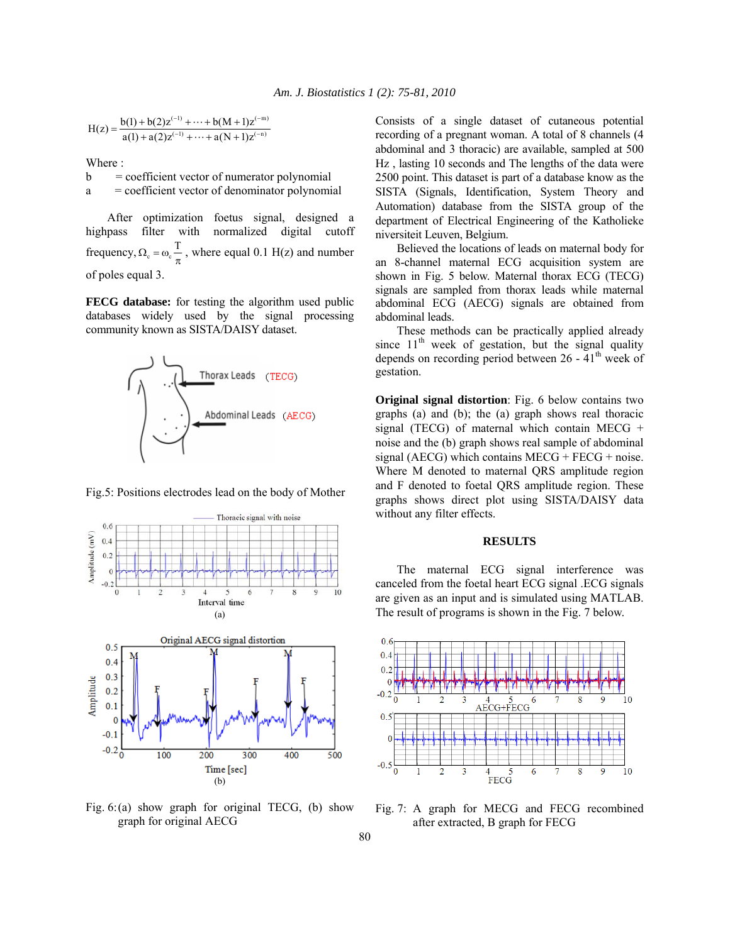$$
H(z) = \frac{b(1) + b(2)z^{(-1)} + \dots + b(M+1)z^{(-m)}}{a(1) + a(2)z^{(-1)} + \dots + a(N+1)z^{(-n)}}
$$

Where :

 $b = \text{coefficient vector of numerator polynomial}$ 

a = coefficient vector of denominator polynomial

 After optimization foetus signal, designed a highpass filter with normalized digital cutoff frequency,  $\Omega_c = \omega_c \frac{T}{\pi}$ , where equal 0.1 H(z) and number of poles equal 3.

**FECG database:** for testing the algorithm used public databases widely used by the signal processing community known as SISTA/DAISY dataset.



Fig.5: Positions electrodes lead on the body of Mother



Fig.  $6:(a)$  show graph for original TECG, (b) show graph for original AECG

Consists of a single dataset of cutaneous potential recording of a pregnant woman. A total of 8 channels (4 abdominal and 3 thoracic) are available, sampled at 500 Hz , lasting 10 seconds and The lengths of the data were 2500 point. This dataset is part of a database know as the SISTA (Signals, Identification, System Theory and Automation) database from the SISTA group of the department of Electrical Engineering of the Katholieke niversiteit Leuven, Belgium.

 Believed the locations of leads on maternal body for an 8-channel maternal ECG acquisition system are shown in Fig. 5 below. Maternal thorax ECG (TECG) signals are sampled from thorax leads while maternal abdominal ECG (AECG) signals are obtained from abdominal leads.

 These methods can be practically applied already since  $11<sup>th</sup>$  week of gestation, but the signal quality depends on recording period between  $26 - 41^{\text{th}}$  week of gestation.

**Original signal distortion**: Fig. 6 below contains two graphs (a) and (b); the (a) graph shows real thoracic signal (TECG) of maternal which contain MECG + noise and the (b) graph shows real sample of abdominal signal (AECG) which contains MECG + FECG + noise. Where M denoted to maternal QRS amplitude region and F denoted to foetal QRS amplitude region. These graphs shows direct plot using SISTA/DAISY data without any filter effects.

## **RESULTS**

 The maternal ECG signal interference was canceled from the foetal heart ECG signal .ECG signals are given as an input and is simulated using MATLAB. The result of programs is shown in the Fig. 7 below.



Fig. 7: A graph for MECG and FECG recombined after extracted, B graph for FECG